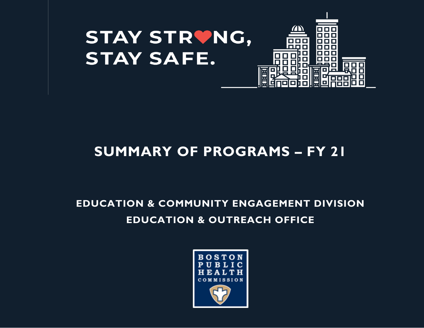

# **SUMMARY OF PROGRAMS – FY 21**

# **EDUCATION & COMMUNITY ENGAGEMENT DIVISION EDUCATION & OUTREACH OFFICE**

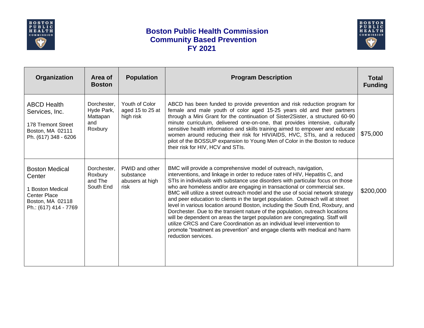



| Organization                                                                                                            | Area of<br><b>Boston</b>                                | <b>Population</b>                                      | <b>Program Description</b>                                                                                                                                                                                                                                                                                                                                                                                                                                                                                                                                                                                                                                                                                                                                                                                                                                                                                                 | <b>Total</b><br><b>Funding</b> |
|-------------------------------------------------------------------------------------------------------------------------|---------------------------------------------------------|--------------------------------------------------------|----------------------------------------------------------------------------------------------------------------------------------------------------------------------------------------------------------------------------------------------------------------------------------------------------------------------------------------------------------------------------------------------------------------------------------------------------------------------------------------------------------------------------------------------------------------------------------------------------------------------------------------------------------------------------------------------------------------------------------------------------------------------------------------------------------------------------------------------------------------------------------------------------------------------------|--------------------------------|
| <b>ABCD Health</b><br>Services, Inc.<br>178 Tremont Street<br>Boston, MA 02111<br>Ph. (617) 348 - 6206                  | Dorchester.<br>Hyde Park,<br>Mattapan<br>and<br>Roxbury | Youth of Color<br>aged 15 to 25 at<br>high risk        | ABCD has been funded to provide prevention and risk reduction program for<br>female and male youth of color aged 15-25 years old and their partners<br>through a Mini Grant for the continuation of Sister2Sister, a structured 60-90<br>minute curriculum, delivered one-on-one, that provides intensive, culturally<br>sensitive health information and skills training aimed to empower and educate<br>women around reducing their risk for HIV/AIDS, HVC, STIs, and a reduced<br>pilot of the BOSSUP expansion to Young Men of Color in the Boston to reduce<br>their risk for HIV, HCV and STIs.                                                                                                                                                                                                                                                                                                                      | \$75,000                       |
| <b>Boston Medical</b><br>Center<br>1 Boston Medical<br><b>Center Place</b><br>Boston, MA 02118<br>Ph.: (617) 414 - 7769 | Dorchester,<br>Roxbury<br>and The<br>South End          | PWID and other<br>substance<br>abusers at high<br>risk | BMC will provide a comprehensive model of outreach, navigation,<br>interventions, and linkage in order to reduce rates of HIV, Hepatitis C, and<br>STIs in individuals with substance use disorders with particular focus on those<br>who are homeless and/or are engaging in transactional or commercial sex.<br>BMC will utilize a street outreach model and the use of social network strategy<br>and peer education to clients in the target population. Outreach will at street<br>level in various location around Boston, including the South End, Roxbury, and<br>Dorchester. Due to the transient nature of the population, outreach locations<br>will be dependent on areas the target population are congregating. Staff will<br>utilize CRCS and Care Coordination as an individual level intervention to<br>promote "treatment as prevention" and engage clients with medical and harm<br>reduction services. | \$200,000                      |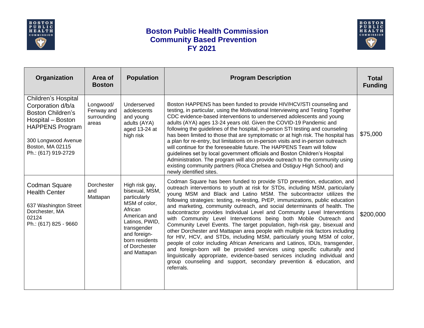



| Organization                                                                                                                                                                                 | Area of<br><b>Boston</b>                        | <b>Population</b>                                                                                                                                                                                | <b>Program Description</b>                                                                                                                                                                                                                                                                                                                                                                                                                                                                                                                                                                                                                                                                                                                                                                                                                                                                                                                                                                                                                                                                                                   | <b>Total</b><br><b>Funding</b> |
|----------------------------------------------------------------------------------------------------------------------------------------------------------------------------------------------|-------------------------------------------------|--------------------------------------------------------------------------------------------------------------------------------------------------------------------------------------------------|------------------------------------------------------------------------------------------------------------------------------------------------------------------------------------------------------------------------------------------------------------------------------------------------------------------------------------------------------------------------------------------------------------------------------------------------------------------------------------------------------------------------------------------------------------------------------------------------------------------------------------------------------------------------------------------------------------------------------------------------------------------------------------------------------------------------------------------------------------------------------------------------------------------------------------------------------------------------------------------------------------------------------------------------------------------------------------------------------------------------------|--------------------------------|
| <b>Children's Hospital</b><br>Corporation d/b/a<br><b>Boston Children's</b><br>Hospital - Boston<br><b>HAPPENS Program</b><br>300 Longwood Avenue<br>Boston, MA 02115<br>Ph.: (617) 919-2729 | Longwood/<br>Fenway and<br>surrounding<br>areas | Underserved<br>adolescents<br>and young<br>adults (AYA)<br>aged 13-24 at<br>high risk                                                                                                            | Boston HAPPENS has been funded to provide HIV/HCV/STI counseling and<br>testing, in particular, using the Motivational Interviewing and Testing Together<br>CDC evidence-based interventions to underserved adolescents and young<br>adults (AYA) ages 13-24 years old. Given the COVID-19 Pandemic and<br>following the guidelines of the hospital, in-person STI testing and counseling<br>has been limited to those that are symptomatic or at high risk. The hospital has<br>a plan for re-entry, but limitations on in-person visits and in-person outreach<br>will continue for the foreseeable future. The HAPPENS Team will follow<br>guidelines set by local government officials and Boston Children's Hospital<br>Administration. The program will also provide outreach to the community using<br>existing community partners (Roca Chelsea and Ostiguy High School) and<br>newly identified sites.                                                                                                                                                                                                              | \$75,000                       |
| <b>Codman Square</b><br><b>Health Center</b><br>637 Washington Street<br>Dorchester, MA<br>02124<br>Ph.: (617) 825 - 9660                                                                    | Dorchester<br>and<br>Mattapan                   | High risk gay,<br>bisexual, MSM,<br>particularly<br>MSM of color,<br>African<br>American and<br>Latinos, PWID,<br>transgender<br>and foreign-<br>born residents<br>of Dorchester<br>and Mattapan | Codman Square has been funded to provide STD prevention, education, and<br>outreach interventions to youth at risk for STDs, including MSM, particularly<br>young MSM and Black and Latino MSM. The subcontractor utilizes the<br>following strategies: testing, re-testing, PrEP, immunizations, public education<br>and marketing, community outreach, and social determinants of health. The<br>subcontractor provides Individual Level and Community Level Interventions<br>with Community Level Interventions being both Mobile Outreach and<br>Community Level Events. The target population, high-risk gay, bisexual and<br>other Dorchester and Mattapan area people with multiple risk factors including<br>for HIV, HCV, and STDs, including MSM, particularly young MSM of color,<br>people of color including African Americans and Latinos, IDUs, transgender,<br>and foreign-born will be provided services using specific culturally and<br>linguistically appropriate, evidence-based services including individual and<br>group counseling and support, secondary prevention & education, and<br>referrals. | \$200,000                      |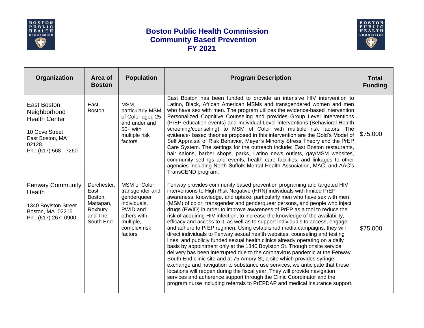



| Organization                                                                                                               | Area of<br><b>Boston</b>                                                       | <b>Population</b>                                                                                                                  | <b>Program Description</b>                                                                                                                                                                                                                                                                                                                                                                                                                                                                                                                                                                                                                                                                                                                                                                                                                                                                                                                                                                                                                                                                                                                                                                                                                                                                                                                                            | <b>Total</b><br><b>Funding</b> |
|----------------------------------------------------------------------------------------------------------------------------|--------------------------------------------------------------------------------|------------------------------------------------------------------------------------------------------------------------------------|-----------------------------------------------------------------------------------------------------------------------------------------------------------------------------------------------------------------------------------------------------------------------------------------------------------------------------------------------------------------------------------------------------------------------------------------------------------------------------------------------------------------------------------------------------------------------------------------------------------------------------------------------------------------------------------------------------------------------------------------------------------------------------------------------------------------------------------------------------------------------------------------------------------------------------------------------------------------------------------------------------------------------------------------------------------------------------------------------------------------------------------------------------------------------------------------------------------------------------------------------------------------------------------------------------------------------------------------------------------------------|--------------------------------|
| East Boston<br>Neighborhood<br><b>Health Center</b><br>10 Gove Street<br>East Boston, MA<br>02128<br>Ph.: (617) 568 - 7260 | East<br><b>Boston</b>                                                          | MSM,<br>particularly MSM<br>of Color aged 25<br>and under and<br>$50+$ with<br>multiple risk<br>factors                            | East Boston has been funded to provide an intensive HIV intervention to<br>Latino, Black, African American MSMs and transgendered women and men<br>who have sex with men. The program utilizes the evidence-based intervention<br>Personalized Cognitive Counseling and provides Group Level Interventions<br>(PrEP education events) and Individual Level Interventions (Behavioral Health<br>screening/counseling) to MSM of Color with multiple risk factors. The<br>evidence- based theories proposed in this intervention are the Gold's Model of<br>Self Appraisal of Risk Behavior, Meyer's Minority Stress Theory and the PrEP<br>Care System. The settings for the outreach include: East Boston restaurants,<br>hair salons, barber shops, parks, Latino news outlets, gay/MSM websites,<br>community settings and events, health care facilities, and linkages to other<br>agencies including North Suffolk Mental Health Association, MAC, and AAC's<br>TransCEND program.                                                                                                                                                                                                                                                                                                                                                                                | \$75,000                       |
| <b>Fenway Community</b><br>Health<br>1340 Boylston Street<br>Boston, MA 02215<br>Ph.: (617) 267-0900                       | Dorchester,<br>East<br>Boston,<br>Mattapan,<br>Roxbury<br>and The<br>South End | MSM of Color,<br>transgender and<br>genderqueer<br>individuals,<br>PWID and<br>others with<br>multiple,<br>complex risk<br>factors | Fenway provides community based prevention programing and targeted HIV<br>interventions to High Risk Negative (HRN) individuals with limited PrEP<br>awareness, knowledge, and uptake, particularly men who have sex with men<br>(MSM) of color, transgender and genderqueer persons, and people who inject<br>drugs (PWID) in order to improve awareness of PrEP as a tool to reduce the<br>risk of acquiring HIV infection, to increase the knowledge of the availability,<br>efficacy and access to it, as well as to support individuals to access, engage<br>and adhere to PrEP regimen. Using established media campaigns, they will<br>direct individuals to Fenway sexual health websites, counseling and testing<br>lines, and publicly funded sexual health clinics already operating on a daily<br>basis by appointment only at the 1340 Boylston St. Though onsite service<br>delivery has been interrupted due to the coronavirus pandemic at the Fenway<br>South End clinic site and at 75 Amory St, a site which provides syringe<br>exchange and navigation to substance use services, we anticipate that these<br>locations will reopen during the fiscal year. They will provide navigation<br>services and adherence support through the Clinic Coordinator and the<br>program nurse including referrals to PrEPDAP and medical insurance support. | \$75,000                       |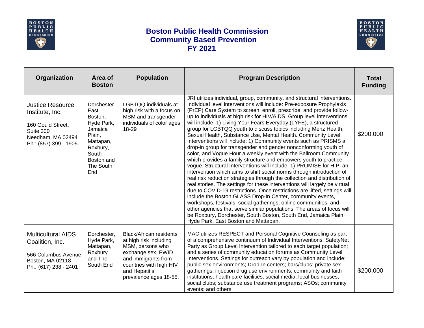



| Organization                                                                                                               | Area of<br><b>Boston</b>                                                                                                             | <b>Population</b>                                                                                                                                                                               | <b>Program Description</b>                                                                                                                                                                                                                                                                                                                                                                                                                                                                                                                                                                                                                                                                                                                                                                                                                                                                                                                                                                                                                                                                                                                                                                                                                                                                                                                                                                                                                                                                                | <b>Total</b><br><b>Funding</b> |
|----------------------------------------------------------------------------------------------------------------------------|--------------------------------------------------------------------------------------------------------------------------------------|-------------------------------------------------------------------------------------------------------------------------------------------------------------------------------------------------|-----------------------------------------------------------------------------------------------------------------------------------------------------------------------------------------------------------------------------------------------------------------------------------------------------------------------------------------------------------------------------------------------------------------------------------------------------------------------------------------------------------------------------------------------------------------------------------------------------------------------------------------------------------------------------------------------------------------------------------------------------------------------------------------------------------------------------------------------------------------------------------------------------------------------------------------------------------------------------------------------------------------------------------------------------------------------------------------------------------------------------------------------------------------------------------------------------------------------------------------------------------------------------------------------------------------------------------------------------------------------------------------------------------------------------------------------------------------------------------------------------------|--------------------------------|
| <b>Justice Resource</b><br>Institute, Inc.<br>160 Gould Street,<br>Suite 300<br>Needham, MA 02494<br>Ph.: (857) 399 - 1905 | Dorchester<br>East<br>Boston,<br>Hyde Park,<br>Jamaica<br>Plain,<br>Mattapan,<br>Roxbury,<br>South<br>Boston and<br>The South<br>End | LGBTQQ individuals at<br>high risk with a focus on<br>MSM and transgender<br>individuals of color ages<br>18-29                                                                                 | JRI utilizes individual, group, community, and structural interventions.<br>Individual level interventions will include: Pre-exposure Prophylaxis<br>(PrEP) Care System to screen, enroll, prescribe, and provide follow-<br>up to individuals at high risk for HIV/AIDS. Group level interventions<br>will include: 1) Living Your Fears Everyday (LYFE), a structured<br>group for LGBTQQ youth to discuss topics including Menz Health,<br>Sexual Health, Substance Use, Mental Health. Community Level<br>Interventions will include: 1) Community events such as PRISMS a<br>drop-in group for transgender and gender nonconforming youth of<br>color, and Vogue Hour a weekly event with the Ballroom Community<br>which provides a family structure and empowers youth to practice<br>vogue. Structural Interventions will include: 1) PROMISE for HIP, an<br>intervention which aims to shift social norms through introduction of<br>real risk reduction strategies through the collection and distribution of<br>real stories. The settings for these interventions will largely be virtual<br>due to COVID-19 restrictions. Once restrictions are lifted, settings will<br>include the Boston GLASS Drop-In Center, community events,<br>workshops, festivals, social gatherings, online communities, and<br>other agencies that serve similar populations. The areas of focus will<br>be Roxbury, Dorchester, South Boston, South End, Jamaica Plain,<br>Hyde Park, East Boston and Mattapan. | \$200,000                      |
| <b>Multicultural AIDS</b><br>Coalition, Inc.<br>566 Columbus Avenue<br>Boston, MA 02118<br>Ph.: (617) 238 - 2401           | Dorchester,<br>Hyde Park,<br>Mattapan,<br>Roxbury<br>and The<br>South End                                                            | <b>Black/African residents</b><br>at high risk including<br>MSM, persons who<br>exchange sex, PWID<br>and immigrants from<br>countries with high HIV<br>and Hepatitis<br>prevalence ages 18-55. | MAC utilizes RESPECT and Personal Cognitive Counseling as part<br>of a comprehensive continuum of Individual Interventions; SafetyNet<br>Party as Group Level Intervention tailored to each target population;<br>and a series of community education forums as Community Level<br>Interventions. Settings for outreach vary by population and include:<br>public sex environments; Drop-In centers; bars/clubs; private sex<br>gatherings; injection drug use environments; community and faith<br>institutions; health care facilities; social media; local businesses;<br>social clubs; substance use treatment programs; ASOs; community<br>events; and others.                                                                                                                                                                                                                                                                                                                                                                                                                                                                                                                                                                                                                                                                                                                                                                                                                                       | \$200,000                      |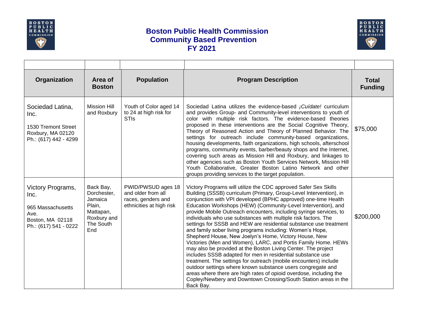



| Organization                                                                                        | Area of<br><b>Boston</b>                                                                      | <b>Population</b>                                                                          | <b>Program Description</b>                                                                                                                                                                                                                                                                                                                                                                                                                                                                                                                                                                                                                                                                                                                                                                                                                                                                                                                                                                                                                                                                           | <b>Total</b><br><b>Funding</b> |
|-----------------------------------------------------------------------------------------------------|-----------------------------------------------------------------------------------------------|--------------------------------------------------------------------------------------------|------------------------------------------------------------------------------------------------------------------------------------------------------------------------------------------------------------------------------------------------------------------------------------------------------------------------------------------------------------------------------------------------------------------------------------------------------------------------------------------------------------------------------------------------------------------------------------------------------------------------------------------------------------------------------------------------------------------------------------------------------------------------------------------------------------------------------------------------------------------------------------------------------------------------------------------------------------------------------------------------------------------------------------------------------------------------------------------------------|--------------------------------|
| Sociedad Latina,<br>Inc.<br>1530 Tremont Street<br>Roxbury, MA 02120<br>Ph.: (617) 442 - 4299       | <b>Mission Hill</b><br>and Roxbury                                                            | Youth of Color aged 14<br>to 24 at high risk for<br><b>STIs</b>                            | Sociedad Latina utilizes the evidence-based <i>¡Cuídate!</i> curriculum<br>and provides Group- and Community-level interventions to youth of<br>color with multiple risk factors. The evidence-based theories<br>proposed in these interventions are the Social Cognitive Theory,<br>Theory of Reasoned Action and Theory of Planned Behavior. The<br>settings for outreach include community-based organizations,<br>housing developments, faith organizations, high schools, afterschool<br>programs, community events, barber/beauty shops and the Internet,<br>covering such areas as Mission Hill and Roxbury, and linkages to<br>other agencies such as Boston Youth Services Network, Mission Hill<br>Youth Collaborative, Greater Boston Latino Network and other<br>groups providing services to the target population.                                                                                                                                                                                                                                                                     | \$75,000                       |
| Victory Programs,<br>Inc.<br>965 Massachusetts<br>Ave.<br>Boston, MA 02118<br>Ph.: (617) 541 - 0222 | Back Bay,<br>Dorchester,<br>Jamaica<br>Plain,<br>Mattapan,<br>Roxbury and<br>The South<br>End | PWID/PWSUD ages 18<br>and older from all<br>races, genders and<br>ethnicities at high risk | Victory Programs will utilize the CDC approved Safer Sex Skills<br>Building (SSSB) curriculum (Primary, Group-Level Intervention), in<br>conjunction with VPI developed (BPHC approved) one-time Health<br>Education Workshops (HEW) (Community-Level Intervention), and<br>provide Mobile Outreach encounters, including syringe services, to<br>individuals who use substances with multiple risk factors. The<br>settings for SSSB and HEW are residential substance use treatment<br>and family sober living programs including: Women's Hope,<br>Shepherd House, New Joelyn's Home, Victory House, New<br>Victories (Men and Women), LARC, and Portis Family Home. HEWs<br>may also be provided at the Boston Living Center. The project<br>includes SSSB adapted for men in residential substance use<br>treatment. The settings for outreach (mobile encounters) include<br>outdoor settings where known substance users congregate and<br>areas where there are high rates of opioid overdose, including the<br>Copley/Newbery and Downtown Crossing/South Station areas in the<br>Back Bay. | \$200,000                      |